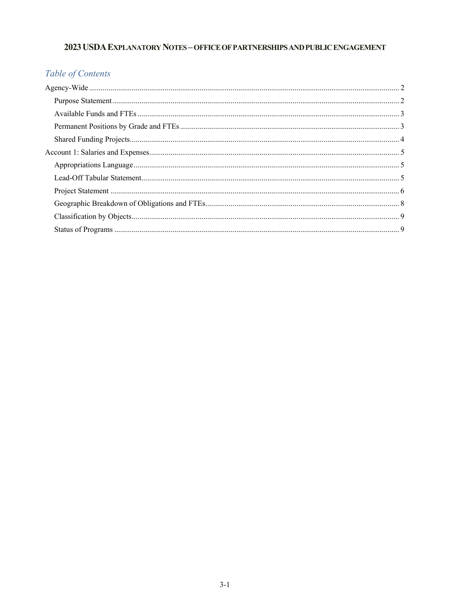## 2023 USDA EXPLANATORY NOTES - OFFICE OF PARTNERSHIPS AND PUBLIC ENGAGEMENT

# Table of Contents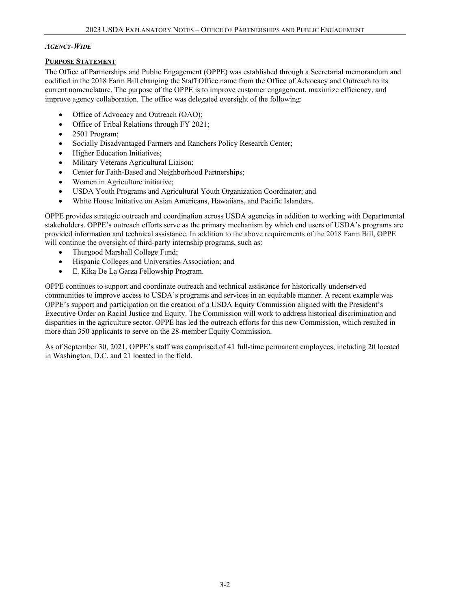### *AGENCY-WIDE*

### **PURPOSE STATEMENT**

The Office of Partnerships and Public Engagement (OPPE) was established through a Secretarial memorandum and codified in the 2018 Farm Bill changing the Staff Office name from the Office of Advocacy and Outreach to its current nomenclature. The purpose of the OPPE is to improve customer engagement, maximize efficiency, and improve agency collaboration. The office was delegated oversight of the following:

- Office of Advocacy and Outreach (OAO);
- Office of Tribal Relations through FY 2021;
- 2501 Program;
- Socially Disadvantaged Farmers and Ranchers Policy Research Center;
- Higher Education Initiatives;
- Military Veterans Agricultural Liaison;
- Center for Faith-Based and Neighborhood Partnerships;
- Women in Agriculture initiative;
- USDA Youth Programs and Agricultural Youth Organization Coordinator; and
- White House Initiative on Asian Americans, Hawaiians, and Pacific Islanders.

OPPE provides strategic outreach and coordination across USDA agencies in addition to working with Departmental stakeholders. OPPE's outreach efforts serve as the primary mechanism by which end users of USDA's programs are provided information and technical assistance. In addition to the above requirements of the 2018 Farm Bill, OPPE will continue the oversight of third-party internship programs, such as:

- Thurgood Marshall College Fund;
- Hispanic Colleges and Universities Association; and
- E. Kika De La Garza Fellowship Program.

OPPE continues to support and coordinate outreach and technical assistance for historically underserved communities to improve access to USDA's programs and services in an equitable manner. A recent example was OPPE's support and participation on the creation of a USDA Equity Commission aligned with the President's Executive Order on Racial Justice and Equity. The Commission will work to address historical discrimination and disparities in the agriculture sector. OPPE has led the outreach efforts for this new Commission, which resulted in more than 350 applicants to serve on the 28-member Equity Commission.

As of September 30, 2021, OPPE's staff was comprised of 41 full-time permanent employees, including 20 located in Washington, D.C. and 21 located in the field.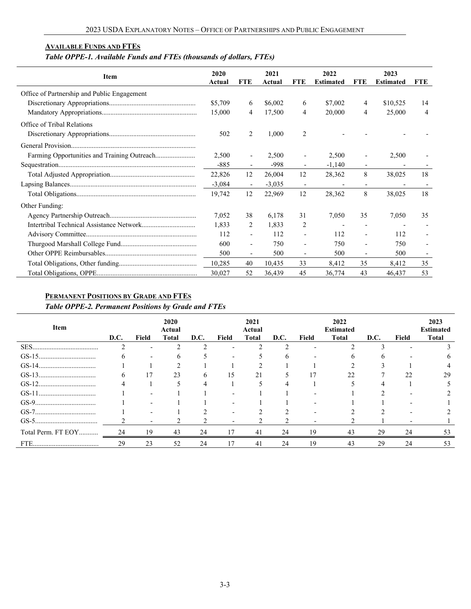### **AVAILABLE FUNDS AND FTES**

# *Table OPPE-1. Available Funds and FTEs (thousands of dollars, FTEs)*

| Item                                        | 2020<br>Actual | <b>FTE</b>               | 2021<br>Actual | FTE                      | 2022<br><b>Estimated</b> | <b>FTE</b>               | 2023<br><b>Estimated</b> | FTE |
|---------------------------------------------|----------------|--------------------------|----------------|--------------------------|--------------------------|--------------------------|--------------------------|-----|
| Office of Partnership and Public Engagement |                |                          |                |                          |                          |                          |                          |     |
|                                             | \$5,709        | 6                        | \$6,002        | 6                        | \$7,002                  | 4                        | \$10,525                 | 14  |
|                                             | 15,000         | 4                        | 17,500         | 4                        | 20,000                   | 4                        | 25,000                   | 4   |
| Office of Tribal Relations                  |                |                          |                |                          |                          |                          |                          |     |
|                                             | 502            | 2                        | 1,000          | $\overline{2}$           |                          |                          |                          |     |
|                                             |                |                          |                |                          |                          |                          |                          |     |
|                                             | 2,500          | $\overline{\phantom{0}}$ | 2,500          |                          | 2,500                    | $\overline{\phantom{a}}$ | 2,500                    |     |
|                                             | $-885$         | $\overline{\phantom{0}}$ | -998           |                          | $-1,140$                 | $\overline{\phantom{a}}$ |                          |     |
|                                             | 22,826         | 12                       | 26,004         | 12                       | 28,362                   | 8                        | 38,025                   | 18  |
|                                             | $-3,084$       | $\overline{\phantom{a}}$ | $-3,035$       | $\overline{\phantom{a}}$ |                          | $\overline{\phantom{a}}$ |                          |     |
|                                             | 19,742         | 12                       | 22,969         | 12                       | 28,362                   | 8                        | 38,025                   | 18  |
| Other Funding:                              |                |                          |                |                          |                          |                          |                          |     |
|                                             | 7,052          | 38                       | 6,178          | 31                       | 7,050                    | 35                       | 7,050                    | 35  |
|                                             | 1,833          | 2                        | 1,833          | 2                        |                          | $\overline{\phantom{a}}$ |                          |     |
|                                             | 112            | $\overline{\phantom{0}}$ | 112            |                          | 112                      | $\overline{\phantom{a}}$ | 112                      |     |
|                                             | 600            | -                        | 750            |                          | 750                      | $\overline{\phantom{a}}$ | 750                      |     |
|                                             | 500            | $\overline{\phantom{0}}$ | 500            |                          | 500                      | $\overline{\phantom{a}}$ | 500                      |     |
|                                             | 10,285         | 40                       | 10,435         | 33                       | 8,412                    | 35                       | 8,412                    | 35  |
|                                             | 30,027         | 52                       | 36,439         | 45                       | 36,774                   | 43                       | 46,437                   | 53  |

### **PERMANENT POSITIONS BY GRADE AND FTES**

*Table OPPE-2. Permanent Positions by Grade and FTEs*

| Item               | D.C. | Field                    | 2020<br>Actual<br><b>Total</b> | D.C. | Field | 2021<br>Actual<br><b>Total</b> | D.C. | Field | 2022<br><b>Estimated</b><br><b>Total</b> | D.C. | Field | 2023<br><b>Estimated</b><br><b>Total</b> |
|--------------------|------|--------------------------|--------------------------------|------|-------|--------------------------------|------|-------|------------------------------------------|------|-------|------------------------------------------|
|                    |      | $\overline{\phantom{0}}$ |                                |      |       |                                |      |       |                                          |      |       |                                          |
|                    |      |                          |                                |      |       |                                |      |       |                                          |      |       |                                          |
|                    |      |                          |                                |      |       |                                |      |       |                                          |      |       |                                          |
|                    |      | 17                       | 23                             | o    | 15    | 21                             |      |       | 22                                       |      | 22    | 29                                       |
|                    |      |                          |                                |      |       |                                |      |       |                                          |      |       |                                          |
|                    |      |                          |                                |      |       |                                |      |       |                                          |      |       |                                          |
|                    |      |                          |                                |      |       |                                |      |       |                                          |      |       |                                          |
|                    |      |                          |                                |      |       |                                |      |       |                                          |      |       |                                          |
|                    |      |                          |                                |      |       |                                |      |       |                                          |      |       |                                          |
| Total Perm. FT EOY | 24   | 19                       | 43                             | 24   |       | 41                             | 24   | 19    | 43                                       | 29   | 24    | 53                                       |
|                    | 29   | 23                       | 52                             | 24   |       | 41                             | 24   | 19    | 43                                       | 29   | 24    | 53                                       |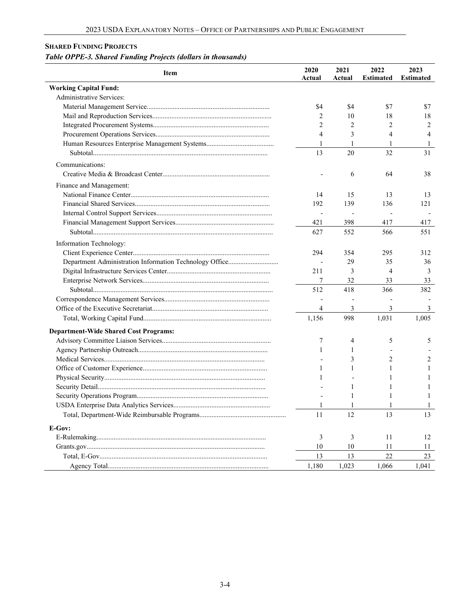### **SHARED FUNDING PROJECTS**

# *Table OPPE-3. Shared Funding Projects (dollars in thousands)*

| <b>Working Capital Fund:</b><br>Administrative Services:<br>\$4<br>\$4<br>\$7 | \$7<br>18<br>2<br>4 |
|-------------------------------------------------------------------------------|---------------------|
|                                                                               |                     |
|                                                                               |                     |
|                                                                               |                     |
| 18<br>2<br>10                                                                 |                     |
| 2<br>2<br>2                                                                   |                     |
| $\overline{4}$<br>3<br>4                                                      |                     |
| 1<br>1<br>1                                                                   | 1                   |
| 13<br>20<br>32                                                                | 31                  |
| Communications:                                                               |                     |
| 64<br>6                                                                       | 38                  |
|                                                                               |                     |
| Finance and Management:                                                       |                     |
| 14<br>15<br>13                                                                | 13                  |
| 192<br>139<br>136                                                             | 121                 |
| $\overline{\phantom{m}}$<br>$\overline{\phantom{a}}$                          |                     |
| 421<br>398<br>417                                                             | 417                 |
| 627<br>552<br>566                                                             | 551                 |
| Information Technology:                                                       |                     |
| 294<br>354<br>295                                                             | 312                 |
| 29<br>35                                                                      | 36                  |
| 211<br>3<br>4                                                                 | 3                   |
| 7<br>32<br>33                                                                 | 33                  |
| 512<br>418<br>366                                                             | 382                 |
|                                                                               |                     |
| 3<br>$\overline{4}$<br>3                                                      | 3                   |
| 998<br>1,031<br>1,005<br>1,156                                                |                     |
| <b>Department-Wide Shared Cost Programs:</b>                                  |                     |
| 7<br>4<br>5                                                                   | 5                   |
| 1<br>1                                                                        |                     |
| 3<br>2                                                                        | 2                   |
| 1<br>1<br>1                                                                   | 1                   |
| 1                                                                             | 1                   |
| 1                                                                             | 1                   |
| 1                                                                             | 1                   |
| -1<br>1                                                                       | 1                   |
| 11<br>12<br>13                                                                | 13                  |
| E-Gov:                                                                        |                     |
| 3<br>3<br>11                                                                  | 12                  |
| 10<br>10<br>11                                                                | 11                  |
| 13<br>13<br>$22\,$                                                            | 23                  |
| 1,180<br>1,023<br>1,066<br>1,041                                              |                     |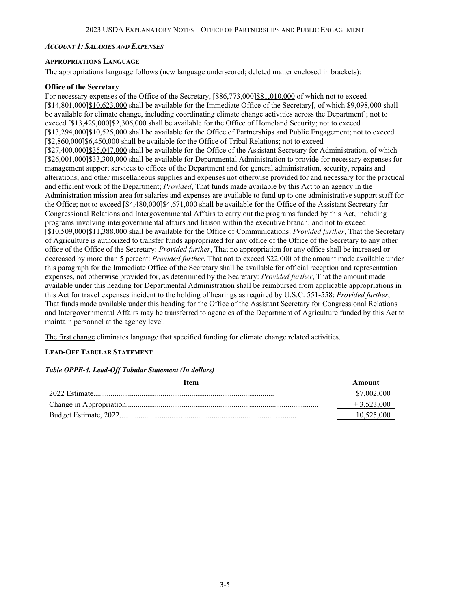### *ACCOUNT 1: SALARIES AND EXPENSES*

### **APPROPRIATIONS LANGUAGE**

The appropriations language follows (new language underscored; deleted matter enclosed in brackets):

### **Office of the Secretary**

For necessary expenses of the Office of the Secretary,  $[$86,773,000]$  $$81,010,000$  of which not to exceed [\$14,801,000]\$10,623,000 shall be available for the Immediate Office of the Secretary[, of which \$9,098,000 shall be available for climate change, including coordinating climate change activities across the Department]; not to exceed [\$13,429,000]\$2,306,000 shall be available for the Office of Homeland Security; not to exceed [\$13,294,000]\$10,525,000 shall be available for the Office of Partnerships and Public Engagement; not to exceed [\$2,860,000]\$6,450,000 shall be available for the Office of Tribal Relations; not to exceed [\$27,400,000]\$35,047,000 shall be available for the Office of the Assistant Secretary for Administration, of which [\$26,001,000]\$33,300,000 shall be available for Departmental Administration to provide for necessary expenses for management support services to offices of the Department and for general administration, security, repairs and alterations, and other miscellaneous supplies and expenses not otherwise provided for and necessary for the practical and efficient work of the Department; *Provided*, That funds made available by this Act to an agency in the Administration mission area for salaries and expenses are available to fund up to one administrative support staff for the Office; not to exceed [\$4,480,000]\$4,671,000 shall be available for the Office of the Assistant Secretary for Congressional Relations and Intergovernmental Affairs to carry out the programs funded by this Act, including programs involving intergovernmental affairs and liaison within the executive branch; and not to exceed [\$10,509,000]\$11,388,000 shall be available for the Office of Communications: *Provided further*, That the Secretary of Agriculture is authorized to transfer funds appropriated for any office of the Office of the Secretary to any other office of the Office of the Secretary: *Provided further*, That no appropriation for any office shall be increased or decreased by more than 5 percent: *Provided further*, That not to exceed \$22,000 of the amount made available under this paragraph for the Immediate Office of the Secretary shall be available for official reception and representation expenses, not otherwise provided for, as determined by the Secretary: *Provided further*, That the amount made available under this heading for Departmental Administration shall be reimbursed from applicable appropriations in this Act for travel expenses incident to the holding of hearings as required by U.S.C. 551-558: *Provided further*, That funds made available under this heading for the Office of the Assistant Secretary for Congressional Relations and Intergovernmental Affairs may be transferred to agencies of the Department of Agriculture funded by this Act to maintain personnel at the agency level.

The first change eliminates language that specified funding for climate change related activities.

### **LEAD-OFF TABULAR STATEMENT**

### *Table OPPE-4. Lead-Off Tabular Statement (In dollars)*

| Item | Amount       |
|------|--------------|
|      | \$7,002,000  |
|      | $+3,523,000$ |
|      | 10,525,000   |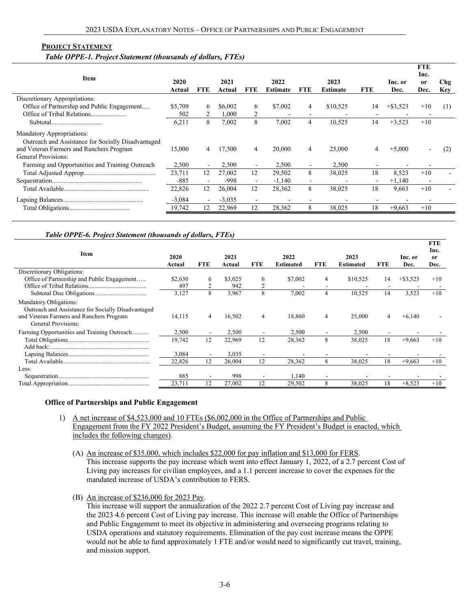#### **PROJECT STATEMENT**

#### *Table OPPE-1. Project Statement (thousands of dollars, FTEs)*

| Item                                                                            | 2020<br>Actual | FTE.                     | 2021<br>Actual | <b>FTE</b>               | 2022<br><b>Estimate</b> | <b>FTE</b>               | 2023<br><b>Estimate</b> | <b>FTE</b>               | Inc. or<br>Dec. | <b>FTE</b><br>Inc.<br><sub>or</sub><br>Dec. | Chg<br><b>Key</b> |
|---------------------------------------------------------------------------------|----------------|--------------------------|----------------|--------------------------|-------------------------|--------------------------|-------------------------|--------------------------|-----------------|---------------------------------------------|-------------------|
| Discretionary Appropriations:                                                   |                |                          |                |                          |                         |                          |                         |                          |                 |                                             |                   |
| Office of Partnership and Public Engagement                                     | \$5,709        | 6                        | \$6,002        | 6                        | \$7,002                 | 4                        | \$10,525                | 14                       | $+$ \$3,523     | $+10$                                       | (1)               |
|                                                                                 | 502            |                          | .000           |                          |                         | $\overline{\phantom{0}}$ |                         |                          |                 |                                             |                   |
|                                                                                 | 6,211          | 8                        | 7,002          | 8                        | 7.002                   | 4                        | 10,525                  | 14                       | $+3,523$        | $+10$                                       |                   |
| Mandatory Appropriations:<br>Outreach and Assistance for Socially Disadvantaged |                |                          |                |                          |                         |                          |                         |                          |                 |                                             |                   |
| and Veteran Farmers and Ranchers Program                                        | 15,000         | 4                        | 17,500         | 4                        | 20,000                  | 4                        | 25,000                  | 4                        | $+5,000$        |                                             | (2)               |
| General Provisions:                                                             |                |                          |                |                          |                         |                          |                         |                          |                 |                                             |                   |
| Farming and Opportunities and Training Outreach                                 | 2,500          | $\overline{\phantom{a}}$ | 2,500          | $\overline{\phantom{a}}$ | 2,500                   | $\sim$                   | 2,500                   |                          |                 |                                             |                   |
|                                                                                 | 23,711         | 12                       | 27,002         | 12                       | 29,502                  | 8                        | 38,025                  | 18                       | 8,523           | $+10$                                       |                   |
|                                                                                 | $-885$         |                          | -998           | $\overline{\phantom{a}}$ | $-1.140$                | $\overline{\phantom{a}}$ |                         | $\overline{\phantom{a}}$ | $+1,140$        | $\overline{\phantom{a}}$                    |                   |
|                                                                                 | 22,826         | 12                       | 26,004         | 12                       | 28,362                  | 8                        | 38,025                  | 18                       | 9,663           | $+10$                                       |                   |
|                                                                                 | $-3.084$       | $\overline{\phantom{a}}$ | $-3,035$       | $\overline{\phantom{0}}$ |                         |                          |                         |                          |                 |                                             |                   |
|                                                                                 | 19,742         | 12                       | 22,969         | 12                       | 28,362                  | 8                        | 38,025                  | 18                       | $+9,663$        | $+10$                                       |                   |
|                                                                                 |                |                          |                |                          |                         |                          |                         |                          |                 |                                             |                   |

### *Table OPPE-6. Project Statement (thousands of dollars, FTEs)*

| Item                                                                                                                                            | 2020<br>Actual | <b>FTE</b> | 2021<br>Actual | <b>FTE</b> | 2022<br>Estimated | <b>FTE</b> | 2023<br><b>Estimated</b> | <b>FTE</b> | Inc. or<br>Dec. | FIL<br>Inc.<br>0r<br>Dec. |
|-------------------------------------------------------------------------------------------------------------------------------------------------|----------------|------------|----------------|------------|-------------------|------------|--------------------------|------------|-----------------|---------------------------|
| Discretionary Obligations:                                                                                                                      |                |            |                |            |                   |            |                          |            |                 |                           |
| Office of Partnership and Public Engagement                                                                                                     | \$2,630        | 6          | \$3,025        | 6          | \$7,002           | 4          | \$10,525                 | 14         | $+$ \$3,523     | $+10$                     |
|                                                                                                                                                 | 497            |            | 942            |            |                   |            |                          |            |                 |                           |
|                                                                                                                                                 | 3,127          | 8          | 3,967          | 8          | 7,002             | 4          | 10,525                   | 14         | 3,523           | $+10$                     |
| Mandatory Obligations:<br>Outreach and Assistance for Socially Disadvantaged<br>and Veteran Farmers and Ranchers Program<br>General Provisions: | 14,115         | 4          | 16,502         | 4          | 18,860            | 4          | 25,000                   | 4          | $+6,140$        |                           |
| Farming Opportunities and Training Outreach                                                                                                     | 2,500          |            | 2,500          |            | 2,500             |            | 2,500                    |            |                 |                           |
|                                                                                                                                                 | 19,742         | 12         | 22,969         | 12         | 28,362            | 8          | 38,025                   | 18         | $+9,663$        | $+10$                     |
|                                                                                                                                                 | 3,084          |            | 3,035          |            |                   |            |                          |            |                 |                           |
|                                                                                                                                                 | 22,826         | 12         | 26,004         | 12         | 28,362            | 8          | 38,025                   | 18         | $+9,663$        | $+10$                     |
| Less:                                                                                                                                           |                |            |                |            |                   |            |                          |            |                 |                           |
|                                                                                                                                                 | 885            |            | 998            |            | 1,140             |            |                          |            |                 |                           |
|                                                                                                                                                 | 23,711         | 12         | 27,002         | 12         | 29,502            | 8          | 38,025                   | 18         | $+8,523$        | $+10$                     |

**FTE**

### **Office of Partnerships and Public Engagement**

- 1) A net increase of \$4,523,000 and 10 FTEs (\$6,002,000 in the Office of Partnerships and Public Engagement from the FY 2022 President's Budget, assuming the FY President's Budget is enacted, which includes the following changes).
	- (A) An increase of \$35,000, which includes \$22,000 for pay inflation and \$13,000 for FERS. This increase supports the pay increase which went into effect January 1, 2022, of a 2.7 percent Cost of Living pay increases for civilian employees, and a 1.1 percent increase to cover the expenses for the mandated increase of USDA's contribution to FERS.
	- (B) An increase of \$236,000 for 2023 Pay.

This increase will support the annualization of the 2022 2.7 percent Cost of Living pay increase and the 2023 4.6 percent Cost of Living pay increase. This increase will enable the Office of Partnerships and Public Engagement to meet its objective in administering and overseeing programs relating to USDA operations and statutory requirements. Elimination of the pay cost increase means the OPPE would not be able to fund approximately 1 FTE and/or would need to significantly cut travel, training, and mission support.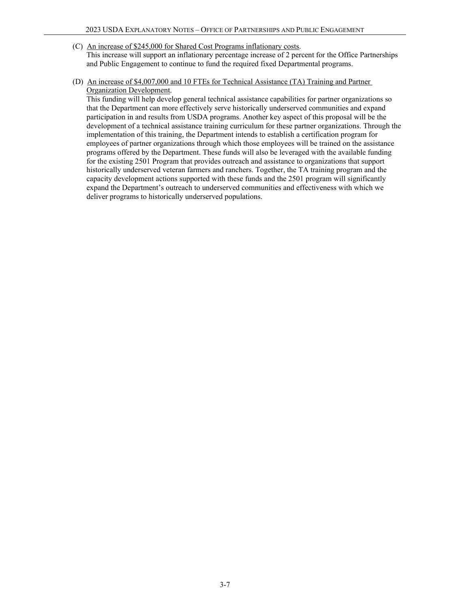(C) An increase of \$245,000 for Shared Cost Programs inflationary costs.

This increase will support an inflationary percentage increase of 2 percent for the Office Partnerships and Public Engagement to continue to fund the required fixed Departmental programs.

(D) An increase of \$4,007,000 and 10 FTEs for Technical Assistance (TA) Training and Partner Organization Development.

This funding will help develop general technical assistance capabilities for partner organizations so that the Department can more effectively serve historically underserved communities and expand participation in and results from USDA programs. Another key aspect of this proposal will be the development of a technical assistance training curriculum for these partner organizations. Through the implementation of this training, the Department intends to establish a certification program for employees of partner organizations through which those employees will be trained on the assistance programs offered by the Department. These funds will also be leveraged with the available funding for the existing 2501 Program that provides outreach and assistance to organizations that support historically underserved veteran farmers and ranchers. Together, the TA training program and the capacity development actions supported with these funds and the 2501 program will significantly expand the Department's outreach to underserved communities and effectiveness with which we deliver programs to historically underserved populations.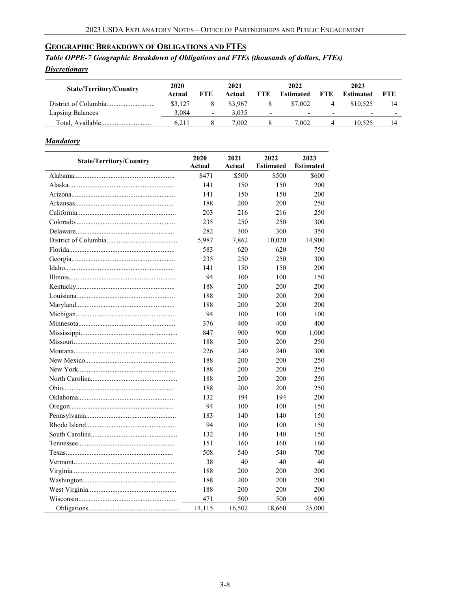### **GEOGRAPHIC BREAKDOWN OF OBLIGATIONS AND FTES**

*Table OPPE-7 Geographic Breakdown of Obligations and FTEs (thousands of dollars, FTEs) Discretionary*

| <b>State/Territory/Country</b> | 2020<br>Actual | <b>FTE</b>               | 2021<br>Actual | <b>FTE</b>               | 2022<br><b>Estimated</b> | FTE                      | 2023<br><b>Estimated</b> | FTE.                     |
|--------------------------------|----------------|--------------------------|----------------|--------------------------|--------------------------|--------------------------|--------------------------|--------------------------|
|                                | \$3.127        |                          | \$3,967        |                          | \$7,002                  |                          | \$10,525                 |                          |
| Lapsing Balances               | 3.084          | $\overline{\phantom{0}}$ | 3.035          | $\overline{\phantom{0}}$ | $\overline{\phantom{0}}$ | $\overline{\phantom{a}}$ | $\overline{\phantom{0}}$ | $\overline{\phantom{0}}$ |
|                                | 6.211          |                          | 0.002          |                          | 7.002                    |                          | 10.525                   |                          |

### *Mandatory*

| <b>State/Territory/Country</b> | 2020   | 2021   | 2022             | 2023             |
|--------------------------------|--------|--------|------------------|------------------|
|                                | Actual | Actual | <b>Estimated</b> | <b>Estimated</b> |
|                                | \$471  | \$500  | \$500            | \$600            |
|                                | 141    | 150    | 150              | 200              |
|                                | 141    | 150    | 150              | 200              |
|                                | 188    | 200    | 200              | 250              |
|                                | 203    | 216    | 216              | 250              |
|                                | 235    | 250    | 250              | 300              |
|                                | 282    | 300    | 300              | 350              |
|                                | 5,987  | 7,862  | 10,020           | 14,900           |
|                                | 583    | 620    | 620              | 750              |
|                                | 235    | 250    | 250              | 300              |
|                                | 141    | 150    | 150              | 200              |
|                                | 94     | 100    | 100              | 150              |
|                                | 188    | 200    | 200              | 200              |
|                                | 188    | 200    | 200              | 200              |
|                                | 188    | 200    | 200              | 200              |
|                                | 94     | 100    | 100              | 100              |
|                                | 376    | 400    | 400              | 400              |
|                                | 847    | 900    | 900              | 1,000            |
|                                | 188    | 200    | 200              | 250              |
|                                | 226    | 240    | 240              | 300              |
|                                | 188    | 200    | 200              | 250              |
|                                | 188    | 200    | 200              | 250              |
|                                | 188    | 200    | 200              | 250              |
|                                | 188    | 200    | 200              | 250              |
|                                | 132    | 194    | 194              | 200              |
|                                | 94     | 100    | 100              | 150              |
|                                | 183    | 140    | 140              | 150              |
|                                | 94     | 100    | 100              | 150              |
|                                | 132    | 140    | 140              | 150              |
|                                | 151    | 160    | 160              | 160              |
|                                | 508    | 540    | 540              | 700              |
|                                | 38     | 40     | 40               | 40               |
|                                | 188    | 200    | 200              | 200              |
|                                | 188    | 200    | 200              | 200              |
|                                | 188    | 200    | 200              | 200              |
|                                | 471    | 500    | 500              | 600              |
|                                | 14,115 | 16,502 | 18,660           | 25,000           |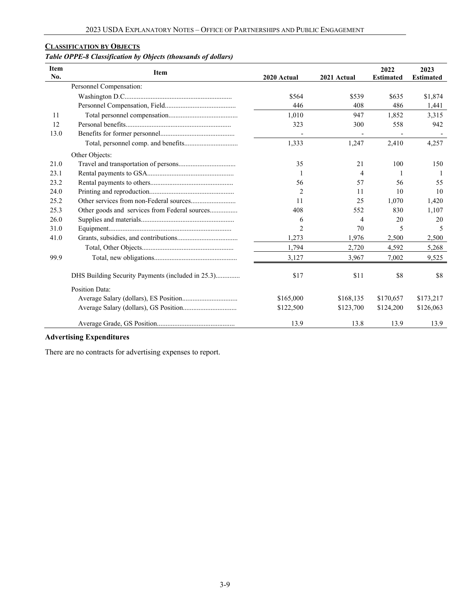## **CLASSIFICATION BY OBJECTS**

### *Table OPPE-8 Classification by Objects (thousands of dollars)*

| <b>Item</b><br>No. | <b>Item</b>                                       | 2020 Actual    | 2021 Actual | 2022<br><b>Estimated</b> | 2023<br><b>Estimated</b> |
|--------------------|---------------------------------------------------|----------------|-------------|--------------------------|--------------------------|
|                    | Personnel Compensation:                           |                |             |                          |                          |
|                    |                                                   | \$564          | \$539       | \$635                    | \$1,874                  |
|                    |                                                   | 446            | 408         | 486                      | 1,441                    |
| 11                 |                                                   | 1.010          | 947         | 1,852                    | 3.315                    |
| 12                 |                                                   | 323            | 300         | 558                      | 942                      |
| 13.0               |                                                   |                |             |                          |                          |
|                    |                                                   | 1,333          | 1,247       | 2,410                    | 4,257                    |
|                    | Other Objects:                                    |                |             |                          |                          |
| 21.0               |                                                   | 35             | 21          | 100                      | 150                      |
| 23.1               |                                                   |                | 4           |                          |                          |
| 23.2               |                                                   | 56             | 57          | 56                       | 55                       |
| 24.0               |                                                   | 2              | 11          | 10                       | 10                       |
| 25.2               |                                                   | 11             | 25          | 1,070                    | 1,420                    |
| 25.3               | Other goods and services from Federal sources     | 408            | 552         | 830                      | 1,107                    |
| 26.0               |                                                   | 6              | 4           | 20                       | 20                       |
| 31.0               |                                                   | $\mathfrak{D}$ | 70          | 5                        | 5                        |
| 41.0               |                                                   | 1,273          | 1,976       | 2,500                    | 2,500                    |
|                    |                                                   | 1,794          | 2,720       | 4,592                    | 5,268                    |
| 99.9               |                                                   | 3,127          | 3,967       | 7,002                    | 9,525                    |
|                    | DHS Building Security Payments (included in 25.3) | \$17           | \$11        | \$8                      | \$8                      |
|                    | Position Data:                                    |                |             |                          |                          |
|                    |                                                   | \$165,000      | \$168,135   | \$170,657                | \$173,217                |
|                    |                                                   | \$122,500      | \$123,700   | \$124,200                | \$126,063                |
|                    |                                                   | 13.9           | 13.8        | 13.9                     | 13.9                     |

### **Advertising Expenditures**

There are no contracts for advertising expenses to report.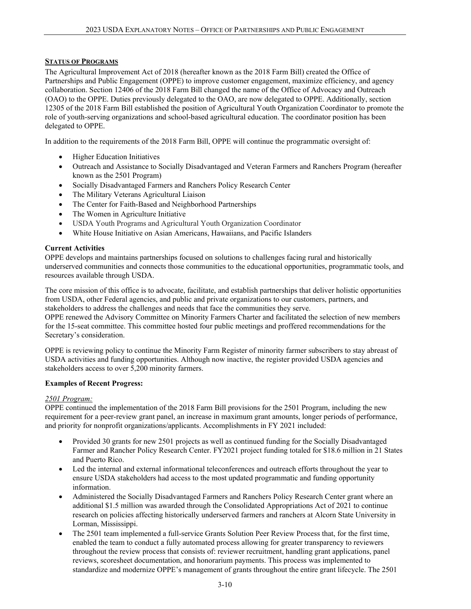### **STATUS OF PROGRAMS**

The Agricultural Improvement Act of 2018 (hereafter known as the 2018 Farm Bill) created the Office of Partnerships and Public Engagement (OPPE) to improve customer engagement, maximize efficiency, and agency collaboration. Section 12406 of the 2018 Farm Bill changed the name of the Office of Advocacy and Outreach (OAO) to the OPPE. Duties previously delegated to the OAO, are now delegated to OPPE. Additionally, section 12305 of the 2018 Farm Bill established the position of Agricultural Youth Organization Coordinator to promote the role of youth-serving organizations and school-based agricultural education. The coordinator position has been delegated to OPPE.

In addition to the requirements of the 2018 Farm Bill, OPPE will continue the programmatic oversight of:

- Higher Education Initiatives
- Outreach and Assistance to Socially Disadvantaged and Veteran Farmers and Ranchers Program (hereafter known as the 2501 Program)
- Socially Disadvantaged Farmers and Ranchers Policy Research Center
- The Military Veterans Agricultural Liaison
- The Center for Faith-Based and Neighborhood Partnerships
- The Women in Agriculture Initiative
- USDA Youth Programs and Agricultural Youth Organization Coordinator
- White House Initiative on Asian Americans, Hawaiians, and Pacific Islanders

### **Current Activities**

OPPE develops and maintains partnerships focused on solutions to challenges facing rural and historically underserved communities and connects those communities to the educational opportunities, programmatic tools, and resources available through USDA.

The core mission of this office is to advocate, facilitate, and establish partnerships that deliver holistic opportunities from USDA, other Federal agencies, and public and private organizations to our customers, partners, and stakeholders to address the challenges and needs that face the communities they serve.

OPPE renewed the Advisory Committee on Minority Farmers Charter and facilitated the selection of new members for the 15-seat committee. This committee hosted four public meetings and proffered recommendations for the Secretary's consideration.

OPPE is reviewing policy to continue the Minority Farm Register of minority farmer subscribers to stay abreast of USDA activities and funding opportunities. Although now inactive, the register provided USDA agencies and stakeholders access to over 5,200 minority farmers.

### **Examples of Recent Progress:**

### *2501 Program:*

OPPE continued the implementation of the 2018 Farm Bill provisions for the 2501 Program, including the new requirement for a peer-review grant panel, an increase in maximum grant amounts, longer periods of performance, and priority for nonprofit organizations/applicants. Accomplishments in FY 2021 included:

- Provided 30 grants for new 2501 projects as well as continued funding for the Socially Disadvantaged Farmer and Rancher Policy Research Center. FY2021 project funding totaled for \$18.6 million in 21 States and Puerto Rico.
- Led the internal and external informational teleconferences and outreach efforts throughout the year to ensure USDA stakeholders had access to the most updated programmatic and funding opportunity information.
- Administered the Socially Disadvantaged Farmers and Ranchers Policy Research Center grant where an additional \$1.5 million was awarded through the Consolidated Appropriations Act of 2021 to continue research on policies affecting historically underserved farmers and ranchers at Alcorn State University in Lorman, Mississippi.
- The 2501 team implemented a full-service Grants Solution Peer Review Process that, for the first time, enabled the team to conduct a fully automated process allowing for greater transparency to reviewers throughout the review process that consists of: reviewer recruitment, handling grant applications, panel reviews, scoresheet documentation, and honorarium payments. This process was implemented to standardize and modernize OPPE's management of grants throughout the entire grant lifecycle. The 2501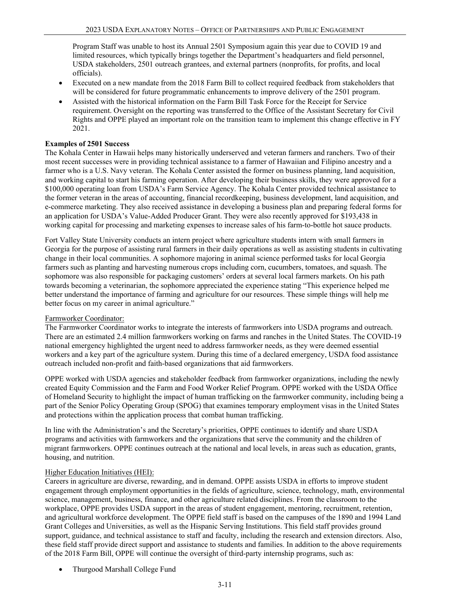Program Staff was unable to host its Annual 2501 Symposium again this year due to COVID 19 and limited resources, which typically brings together the Department's headquarters and field personnel, USDA stakeholders, 2501 outreach grantees, and external partners (nonprofits, for profits, and local officials).

- Executed on a new mandate from the 2018 Farm Bill to collect required feedback from stakeholders that will be considered for future programmatic enhancements to improve delivery of the 2501 program.
- Assisted with the historical information on the Farm Bill Task Force for the Receipt for Service requirement. Oversight on the reporting was transferred to the Office of the Assistant Secretary for Civil Rights and OPPE played an important role on the transition team to implement this change effective in FY 2021.

### **Examples of 2501 Success**

The Kohala Center in Hawaii helps many historically underserved and veteran farmers and ranchers. Two of their most recent successes were in providing technical assistance to a farmer of Hawaiian and Filipino ancestry and a farmer who is a U.S. Navy veteran. The Kohala Center assisted the former on business planning, land acquisition, and working capital to start his farming operation. After developing their business skills, they were approved for a \$100,000 operating loan from USDA's Farm Service Agency. The Kohala Center provided technical assistance to the former veteran in the areas of accounting, financial recordkeeping, business development, land acquisition, and e-commerce marketing. They also received assistance in developing a business plan and preparing federal forms for an application for USDA's Value-Added Producer Grant. They were also recently approved for \$193,438 in working capital for processing and marketing expenses to increase sales of his farm-to-bottle hot sauce products.

Fort Valley State University conducts an intern project where agriculture students intern with small farmers in Georgia for the purpose of assisting rural farmers in their daily operations as well as assisting students in cultivating change in their local communities. A sophomore majoring in animal science performed tasks for local Georgia farmers such as planting and harvesting numerous crops including corn, cucumbers, tomatoes, and squash. The sophomore was also responsible for packaging customers' orders at several local farmers markets. On his path towards becoming a veterinarian, the sophomore appreciated the experience stating "This experience helped me better understand the importance of farming and agriculture for our resources. These simple things will help me better focus on my career in animal agriculture."

### Farmworker Coordinator:

The Farmworker Coordinator works to integrate the interests of farmworkers into USDA programs and outreach. There are an estimated 2.4 million farmworkers working on farms and ranches in the United States. The COVID-19 national emergency highlighted the urgent need to address farmworker needs, as they were deemed essential workers and a key part of the agriculture system. During this time of a declared emergency, USDA food assistance outreach included non-profit and faith-based organizations that aid farmworkers.

OPPE worked with USDA agencies and stakeholder feedback from farmworker organizations, including the newly created Equity Commission and the Farm and Food Worker Relief Program. OPPE worked with the USDA Office of Homeland Security to highlight the impact of human trafficking on the farmworker community, including being a part of the Senior Policy Operating Group (SPOG) that examines temporary employment visas in the United States and protections within the application process that combat human trafficking.

In line with the Administration's and the Secretary's priorities, OPPE continues to identify and share USDA programs and activities with farmworkers and the organizations that serve the community and the children of migrant farmworkers. OPPE continues outreach at the national and local levels, in areas such as education, grants, housing, and nutrition.

### Higher Education Initiatives (HEI):

Careers in agriculture are diverse, rewarding, and in demand. OPPE assists USDA in efforts to improve student engagement through employment opportunities in the fields of agriculture, science, technology, math, environmental science, management, business, finance, and other agriculture related disciplines. From the classroom to the workplace, OPPE provides USDA support in the areas of student engagement, mentoring, recruitment, retention, and agricultural workforce development. The OPPE field staff is based on the campuses of the 1890 and 1994 Land Grant Colleges and Universities, as well as the Hispanic Serving Institutions. This field staff provides ground support, guidance, and technical assistance to staff and faculty, including the research and extension directors. Also, these field staff provide direct support and assistance to students and families. In addition to the above requirements of the 2018 Farm Bill, OPPE will continue the oversight of third-party internship programs, such as:

• Thurgood Marshall College Fund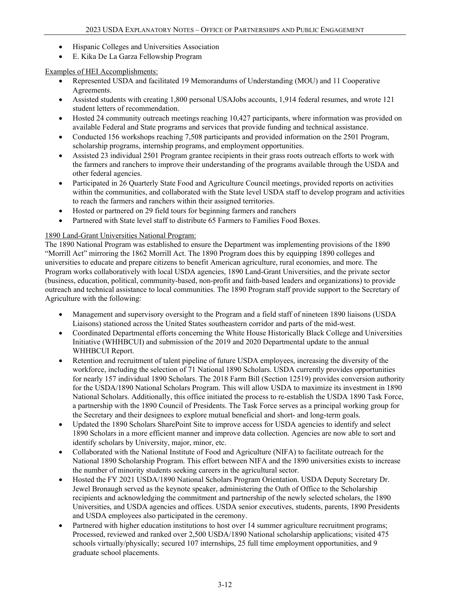- Hispanic Colleges and Universities Association
- E. Kika De La Garza Fellowship Program

### Examples of HEI Accomplishments:

- Represented USDA and facilitated 19 Memorandums of Understanding (MOU) and 11 Cooperative Agreements.
- Assisted students with creating 1,800 personal USAJobs accounts, 1,914 federal resumes, and wrote 121 student letters of recommendation.
- Hosted 24 community outreach meetings reaching 10,427 participants, where information was provided on available Federal and State programs and services that provide funding and technical assistance.
- Conducted 156 workshops reaching 7,508 participants and provided information on the 2501 Program, scholarship programs, internship programs, and employment opportunities.
- Assisted 23 individual 2501 Program grantee recipients in their grass roots outreach efforts to work with the farmers and ranchers to improve their understanding of the programs available through the USDA and other federal agencies.
- Participated in 26 Quarterly State Food and Agriculture Council meetings, provided reports on activities within the communities, and collaborated with the State level USDA staff to develop program and activities to reach the farmers and ranchers within their assigned territories.
- Hosted or partnered on 29 field tours for beginning farmers and ranchers
- Partnered with State level staff to distribute 65 Farmers to Families Food Boxes.

### 1890 Land-Grant Universities National Program:

The 1890 National Program was established to ensure the Department was implementing provisions of the 1890 "Morrill Act" mirroring the 1862 Morrill Act. The 1890 Program does this by equipping 1890 colleges and universities to educate and prepare citizens to benefit American agriculture, rural economies, and more. The Program works collaboratively with local USDA agencies, 1890 Land-Grant Universities, and the private sector (business, education, political, community-based, non-profit and faith-based leaders and organizations) to provide outreach and technical assistance to local communities. The 1890 Program staff provide support to the Secretary of Agriculture with the following:

- Management and supervisory oversight to the Program and a field staff of nineteen 1890 liaisons (USDA Liaisons) stationed across the United States southeastern corridor and parts of the mid-west.
- Coordinated Departmental efforts concerning the White House Historically Black College and Universities Initiative (WHHBCUI) and submission of the 2019 and 2020 Departmental update to the annual WHHBCUI Report.
- Retention and recruitment of talent pipeline of future USDA employees, increasing the diversity of the workforce, including the selection of 71 National 1890 Scholars. USDA currently provides opportunities for nearly 157 individual 1890 Scholars. The 2018 Farm Bill (Section 12519) provides conversion authority for the USDA/1890 National Scholars Program. This will allow USDA to maximize its investment in 1890 National Scholars. Additionally, this office initiated the process to re-establish the USDA 1890 Task Force, a partnership with the 1890 Council of Presidents. The Task Force serves as a principal working group for the Secretary and their designees to explore mutual beneficial and short- and long-term goals.
- Updated the 1890 Scholars SharePoint Site to improve access for USDA agencies to identify and select 1890 Scholars in a more efficient manner and improve data collection. Agencies are now able to sort and identify scholars by University, major, minor, etc.
- Collaborated with the National Institute of Food and Agriculture (NIFA) to facilitate outreach for the National 1890 Scholarship Program. This effort between NIFA and the 1890 universities exists to increase the number of minority students seeking careers in the agricultural sector.
- Hosted the FY 2021 USDA/1890 National Scholars Program Orientation. USDA Deputy Secretary Dr. Jewel Bronaugh served as the keynote speaker, administering the Oath of Office to the Scholarship recipients and acknowledging the commitment and partnership of the newly selected scholars, the 1890 Universities, and USDA agencies and offices. USDA senior executives, students, parents, 1890 Presidents and USDA employees also participated in the ceremony.
- Partnered with higher education institutions to host over 14 summer agriculture recruitment programs; Processed, reviewed and ranked over 2,500 USDA/1890 National scholarship applications; visited 475 schools virtually/physically; secured 107 internships, 25 full time employment opportunities, and 9 graduate school placements.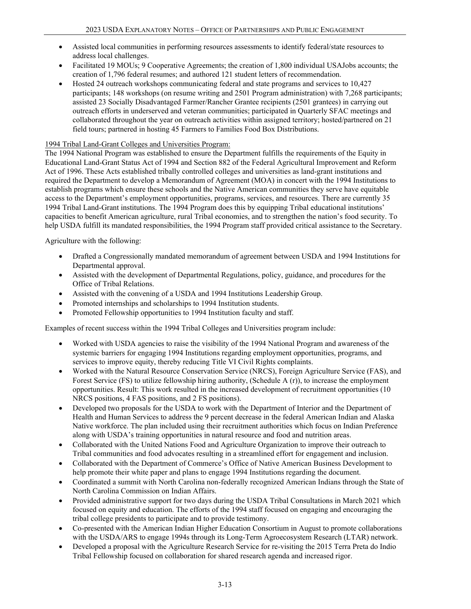- Assisted local communities in performing resources assessments to identify federal/state resources to address local challenges.
- Facilitated 19 MOUs; 9 Cooperative Agreements; the creation of 1,800 individual USAJobs accounts; the creation of 1,796 federal resumes; and authored 121 student letters of recommendation.
- Hosted 24 outreach workshops communicating federal and state programs and services to 10,427 participants; 148 workshops (on resume writing and 2501 Program administration) with 7,268 participants; assisted 23 Socially Disadvantaged Farmer/Rancher Grantee recipients (2501 grantees) in carrying out outreach efforts in underserved and veteran communities; participated in Quarterly SFAC meetings and collaborated throughout the year on outreach activities within assigned territory; hosted/partnered on 21 field tours; partnered in hosting 45 Farmers to Families Food Box Distributions.

### 1994 Tribal Land-Grant Colleges and Universities Program:

The 1994 National Program was established to ensure the Department fulfills the requirements of the Equity in Educational Land-Grant Status Act of 1994 and Section 882 of the Federal Agricultural Improvement and Reform Act of 1996. These Acts established tribally controlled colleges and universities as land-grant institutions and required the Department to develop a Memorandum of Agreement (MOA) in concert with the 1994 Institutions to establish programs which ensure these schools and the Native American communities they serve have equitable access to the Department's employment opportunities, programs, services, and resources. There are currently 35 1994 Tribal Land-Grant institutions. The 1994 Program does this by equipping Tribal educational institutions' capacities to benefit American agriculture, rural Tribal economies, and to strengthen the nation's food security. To help USDA fulfill its mandated responsibilities, the 1994 Program staff provided critical assistance to the Secretary.

Agriculture with the following:

- Drafted a Congressionally mandated memorandum of agreement between USDA and 1994 Institutions for Departmental approval.
- Assisted with the development of Departmental Regulations, policy, guidance, and procedures for the Office of Tribal Relations.
- Assisted with the convening of a USDA and 1994 Institutions Leadership Group.
- Promoted internships and scholarships to 1994 Institution students.
- Promoted Fellowship opportunities to 1994 Institution faculty and staff.

Examples of recent success within the 1994 Tribal Colleges and Universities program include:

- Worked with USDA agencies to raise the visibility of the 1994 National Program and awareness of the systemic barriers for engaging 1994 Institutions regarding employment opportunities, programs, and services to improve equity, thereby reducing Title VI Civil Rights complaints.
- Worked with the Natural Resource Conservation Service (NRCS), Foreign Agriculture Service (FAS), and Forest Service (FS) to utilize fellowship hiring authority, (Schedule A (r)), to increase the employment opportunities. Result: This work resulted in the increased development of recruitment opportunities (10 NRCS positions, 4 FAS positions, and 2 FS positions).
- Developed two proposals for the USDA to work with the Department of Interior and the Department of Health and Human Services to address the 9 percent decrease in the federal American Indian and Alaska Native workforce. The plan included using their recruitment authorities which focus on Indian Preference along with USDA's training opportunities in natural resource and food and nutrition areas.
- Collaborated with the United Nations Food and Agriculture Organization to improve their outreach to Tribal communities and food advocates resulting in a streamlined effort for engagement and inclusion.
- Collaborated with the Department of Commerce's Office of Native American Business Development to help promote their white paper and plans to engage 1994 Institutions regarding the document.
- Coordinated a summit with North Carolina non-federally recognized American Indians through the State of North Carolina Commission on Indian Affairs.
- Provided administrative support for two days during the USDA Tribal Consultations in March 2021 which focused on equity and education. The efforts of the 1994 staff focused on engaging and encouraging the tribal college presidents to participate and to provide testimony.
- Co-presented with the American Indian Higher Education Consortium in August to promote collaborations with the USDA/ARS to engage 1994s through its Long-Term Agroecosystem Research (LTAR) network.
- Developed a proposal with the Agriculture Research Service for re-visiting the 2015 Terra Preta do Indio Tribal Fellowship focused on collaboration for shared research agenda and increased rigor.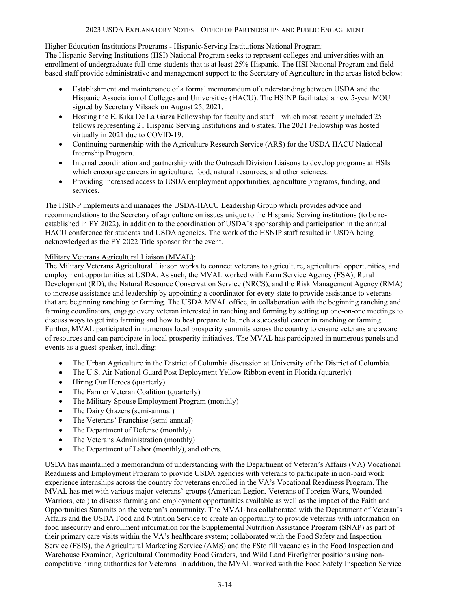### Higher Education Institutions Programs - Hispanic-Serving Institutions National Program:

The Hispanic Serving Institutions (HSI) National Program seeks to represent colleges and universities with an enrollment of undergraduate full-time students that is at least 25% Hispanic. The HSI National Program and fieldbased staff provide administrative and management support to the Secretary of Agriculture in the areas listed below:

- Establishment and maintenance of a formal memorandum of understanding between USDA and the Hispanic Association of Colleges and Universities (HACU). The HSINP facilitated a new 5-year MOU signed by Secretary Vilsack on August 25, 2021.
- Hosting the E. Kika De La Garza Fellowship for faculty and staff which most recently included 25 fellows representing 21 Hispanic Serving Institutions and 6 states. The 2021 Fellowship was hosted virtually in 2021 due to COVID-19.
- Continuing partnership with the Agriculture Research Service (ARS) for the USDA HACU National Internship Program.
- Internal coordination and partnership with the Outreach Division Liaisons to develop programs at HSIs which encourage careers in agriculture, food, natural resources, and other sciences.
- Providing increased access to USDA employment opportunities, agriculture programs, funding, and services.

The HSINP implements and manages the USDA-HACU Leadership Group which provides advice and recommendations to the Secretary of agriculture on issues unique to the Hispanic Serving institutions (to be reestablished in FY 2022), in addition to the coordination of USDA's sponsorship and participation in the annual HACU conference for students and USDA agencies. The work of the HSNIP staff resulted in USDA being acknowledged as the FY 2022 Title sponsor for the event.

### Military Veterans Agricultural Liaison (MVAL):

The Military Veterans Agricultural Liaison works to connect veterans to agriculture, agricultural opportunities, and employment opportunities at USDA. As such, the MVAL worked with Farm Service Agency (FSA), Rural Development (RD), the Natural Resource Conservation Service (NRCS), and the Risk Management Agency (RMA) to increase assistance and leadership by appointing a coordinator for every state to provide assistance to veterans that are beginning ranching or farming. The USDA MVAL office, in collaboration with the beginning ranching and farming coordinators, engage every veteran interested in ranching and farming by setting up one-on-one meetings to discuss ways to get into farming and how to best prepare to launch a successful career in ranching or farming. Further, MVAL participated in numerous local prosperity summits across the country to ensure veterans are aware of resources and can participate in local prosperity initiatives. The MVAL has participated in numerous panels and events as a guest speaker, including:

- The Urban Agriculture in the District of Columbia discussion at University of the District of Columbia.
- The U.S. Air National Guard Post Deployment Yellow Ribbon event in Florida (quarterly)
- Hiring Our Heroes (quarterly)
- The Farmer Veteran Coalition (quarterly)
- The Military Spouse Employment Program (monthly)
- The Dairy Grazers (semi-annual)
- The Veterans' Franchise (semi-annual)
- The Department of Defense (monthly)
- The Veterans Administration (monthly)
- The Department of Labor (monthly), and others.

USDA has maintained a memorandum of understanding with the Department of Veteran's Affairs (VA) Vocational Readiness and Employment Program to provide USDA agencies with veterans to participate in non-paid work experience internships across the country for veterans enrolled in the VA's Vocational Readiness Program. The MVAL has met with various major veterans' groups (American Legion, Veterans of Foreign Wars, Wounded Warriors, etc.) to discuss farming and employment opportunities available as well as the impact of the Faith and Opportunities Summits on the veteran's community. The MVAL has collaborated with the Department of Veteran's Affairs and the USDA Food and Nutrition Service to create an opportunity to provide veterans with information on food insecurity and enrollment information for the Supplemental Nutrition Assistance Program (SNAP) as part of their primary care visits within the VA's healthcare system; collaborated with the Food Safety and Inspection Service (FSIS), the Agricultural Marketing Service (AMS) and the FSto fill vacancies in the Food Inspection and Warehouse Examiner, Agricultural Commodity Food Graders, and Wild Land Firefighter positions using noncompetitive hiring authorities for Veterans. In addition, the MVAL worked with the Food Safety Inspection Service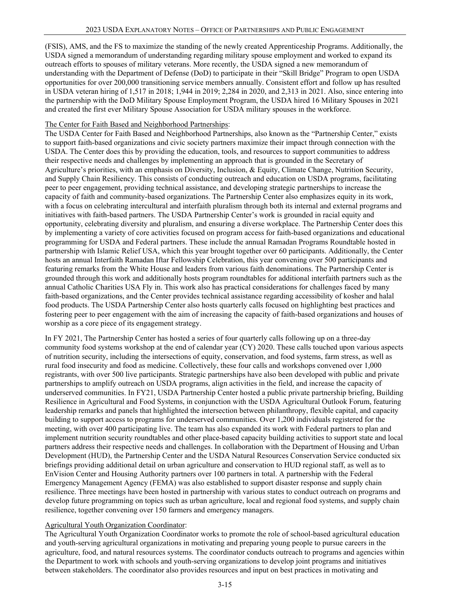(FSIS), AMS, and the FS to maximize the standing of the newly created Apprenticeship Programs. Additionally, the USDA signed a memorandum of understanding regarding military spouse employment and worked to expand its outreach efforts to spouses of military veterans. More recently, the USDA signed a new memorandum of understanding with the Department of Defense (DoD) to participate in their "Skill Bridge" Program to open USDA opportunities for over 200,000 transitioning service members annually. Consistent effort and follow up has resulted in USDA veteran hiring of 1,517 in 2018; 1,944 in 2019; 2,284 in 2020, and 2,313 in 2021. Also, since entering into the partnership with the DoD Military Spouse Employment Program, the USDA hired 16 Military Spouses in 2021 and created the first ever Military Spouse Association for USDA military spouses in the workforce.

### The Center for Faith Based and Neighborhood Partnerships:

The USDA Center for Faith Based and Neighborhood Partnerships, also known as the "Partnership Center," exists to support faith-based organizations and civic society partners maximize their impact through connection with the USDA. The Center does this by providing the education, tools, and resources to support communities to address their respective needs and challenges by implementing an approach that is grounded in the Secretary of Agriculture's priorities, with an emphasis on Diversity, Inclusion, & Equity, Climate Change, Nutrition Security, and Supply Chain Resiliency. This consists of conducting outreach and education on USDA programs, facilitating peer to peer engagement, providing technical assistance, and developing strategic partnerships to increase the capacity of faith and community-based organizations. The Partnership Center also emphasizes equity in its work, with a focus on celebrating intercultural and interfaith pluralism through both its internal and external programs and initiatives with faith-based partners. The USDA Partnership Center's work is grounded in racial equity and opportunity, celebrating diversity and pluralism, and ensuring a diverse workplace. The Partnership Center does this by implementing a variety of core activities focused on program access for faith-based organizations and educational programming for USDA and Federal partners. These include the annual Ramadan Programs Roundtable hosted in partnership with Islamic Relief USA, which this year brought together over 60 participants. Additionally, the Center hosts an annual Interfaith Ramadan Iftar Fellowship Celebration, this year convening over 500 participants and featuring remarks from the White House and leaders from various faith denominations. The Partnership Center is grounded through this work and additionally hosts program roundtables for additional interfaith partners such as the annual Catholic Charities USA Fly in. This work also has practical considerations for challenges faced by many faith-based organizations, and the Center provides technical assistance regarding accessibility of kosher and halal food products. The USDA Partnership Center also hosts quarterly calls focused on highlighting best practices and fostering peer to peer engagement with the aim of increasing the capacity of faith-based organizations and houses of worship as a core piece of its engagement strategy.

In FY 2021, The Partnership Center has hosted a series of four quarterly calls following up on a three-day community food systems workshop at the end of calendar year (CY) 2020. These calls touched upon various aspects of nutrition security, including the intersections of equity, conservation, and food systems, farm stress, as well as rural food insecurity and food as medicine. Collectively, these four calls and workshops convened over 1,000 registrants, with over 500 live participants. Strategic partnerships have also been developed with public and private partnerships to amplify outreach on USDA programs, align activities in the field, and increase the capacity of underserved communities. In FY21, USDA Partnership Center hosted a public private partnership briefing, Building Resilience in Agricultural and Food Systems, in conjunction with the USDA Agricultural Outlook Forum, featuring leadership remarks and panels that highlighted the intersection between philanthropy, flexible capital, and capacity building to support access to programs for underserved communities. Over 1,200 individuals registered for the meeting, with over 400 participating live. The team has also expanded its work with Federal partners to plan and implement nutrition security roundtables and other place-based capacity building activities to support state and local partners address their respective needs and challenges. In collaboration with the Department of Housing and Urban Development (HUD), the Partnership Center and the USDA Natural Resources Conservation Service conducted six briefings providing additional detail on urban agriculture and conservation to HUD regional staff, as well as to EnVision Center and Housing Authority partners over 100 partners in total. A partnership with the Federal Emergency Management Agency (FEMA) was also established to support disaster response and supply chain resilience. Three meetings have been hosted in partnership with various states to conduct outreach on programs and develop future programming on topics such as urban agriculture, local and regional food systems, and supply chain resilience, together convening over 150 farmers and emergency managers.

### Agricultural Youth Organization Coordinator:

The Agricultural Youth Organization Coordinator works to promote the role of school-based agricultural education and youth-serving agricultural organizations in motivating and preparing young people to pursue careers in the agriculture, food, and natural resources systems. The coordinator conducts outreach to programs and agencies within the Department to work with schools and youth-serving organizations to develop joint programs and initiatives between stakeholders. The coordinator also provides resources and input on best practices in motivating and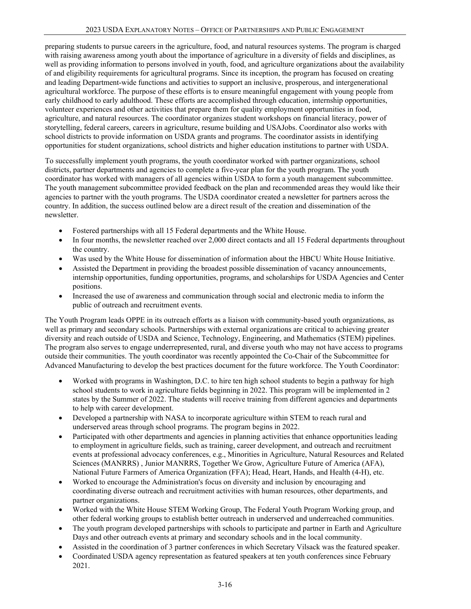preparing students to pursue careers in the agriculture, food, and natural resources systems. The program is charged with raising awareness among youth about the importance of agriculture in a diversity of fields and disciplines, as well as providing information to persons involved in youth, food, and agriculture organizations about the availability of and eligibility requirements for agricultural programs. Since its inception, the program has focused on creating and leading Department-wide functions and activities to support an inclusive, prosperous, and intergenerational agricultural workforce. The purpose of these efforts is to ensure meaningful engagement with young people from early childhood to early adulthood. These efforts are accomplished through education, internship opportunities, volunteer experiences and other activities that prepare them for quality employment opportunities in food, agriculture, and natural resources. The coordinator organizes student workshops on financial literacy, power of storytelling, federal careers, careers in agriculture, resume building and USAJobs. Coordinator also works with school districts to provide information on USDA grants and programs. The coordinator assists in identifying opportunities for student organizations, school districts and higher education institutions to partner with USDA.

To successfully implement youth programs, the youth coordinator worked with partner organizations, school districts, partner departments and agencies to complete a five-year plan for the youth program. The youth coordinator has worked with managers of all agencies within USDA to form a youth management subcommittee. The youth management subcommittee provided feedback on the plan and recommended areas they would like their agencies to partner with the youth programs. The USDA coordinator created a newsletter for partners across the country. In addition, the success outlined below are a direct result of the creation and dissemination of the newsletter.

- Fostered partnerships with all 15 Federal departments and the White House.
- In four months, the newsletter reached over 2,000 direct contacts and all 15 Federal departments throughout the country.
- Was used by the White House for dissemination of information about the HBCU White House Initiative.
- Assisted the Department in providing the broadest possible dissemination of vacancy announcements, internship opportunities, funding opportunities, programs, and scholarships for USDA Agencies and Center positions.
- Increased the use of awareness and communication through social and electronic media to inform the public of outreach and recruitment events.

The Youth Program leads OPPE in its outreach efforts as a liaison with community-based youth organizations, as well as primary and secondary schools. Partnerships with external organizations are critical to achieving greater diversity and reach outside of USDA and Science, Technology, Engineering, and Mathematics (STEM) pipelines. The program also serves to engage underrepresented, rural, and diverse youth who may not have access to programs outside their communities. The youth coordinator was recently appointed the Co-Chair of the Subcommittee for Advanced Manufacturing to develop the best practices document for the future workforce. The Youth Coordinator:

- Worked with programs in Washington, D.C. to hire ten high school students to begin a pathway for high school students to work in agriculture fields beginning in 2022. This program will be implemented in 2 states by the Summer of 2022. The students will receive training from different agencies and departments to help with career development.
- Developed a partnership with NASA to incorporate agriculture within STEM to reach rural and underserved areas through school programs. The program begins in 2022.
- Participated with other departments and agencies in planning activities that enhance opportunities leading to employment in agriculture fields, such as training, career development, and outreach and recruitment events at professional advocacy conferences, e.g., Minorities in Agriculture, Natural Resources and Related Sciences (MANRRS) , Junior MANRRS, Together We Grow, Agriculture Future of America (AFA), National Future Farmers of America Organization (FFA); Head, Heart, Hands, and Health (4-H), etc.
- Worked to encourage the Administration's focus on diversity and inclusion by encouraging and coordinating diverse outreach and recruitment activities with human resources, other departments, and partner organizations.
- Worked with the White House STEM Working Group, The Federal Youth Program Working group, and other federal working groups to establish better outreach in underserved and underreached communities.
- The youth program developed partnerships with schools to participate and partner in Earth and Agriculture Days and other outreach events at primary and secondary schools and in the local community.
- Assisted in the coordination of 3 partner conferences in which Secretary Vilsack was the featured speaker.
- Coordinated USDA agency representation as featured speakers at ten youth conferences since February 2021.